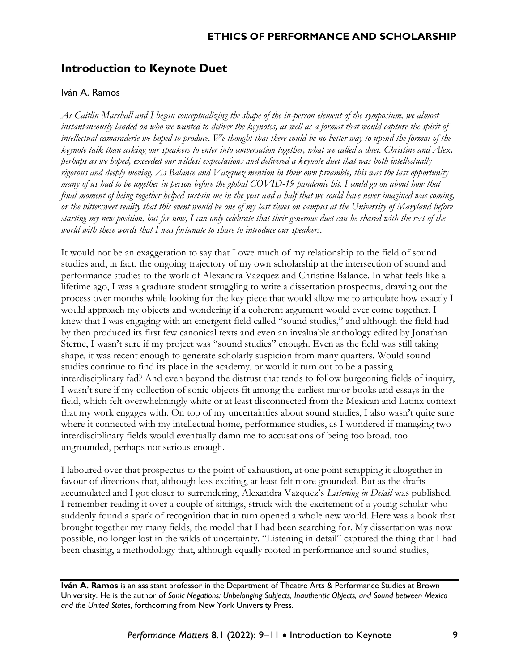## **Introduction to Keynote Duet**

## Iván A. Ramos

*As Caitlin Marshall and I began conceptualizing the shape of the in-person element of the symposium, we almost instantaneously landed on who we wanted to deliver the keynotes, as well as a format that would capture the spirit of intellectual camaraderie we hoped to produce. We thought that there could be no better way to upend the format of the keynote talk than asking our speakers to enter into conversation together, what we called a duet. Christine and Alex, perhaps as we hoped, exceeded our wildest expectations and delivered a keynote duet that was both intellectually rigorous and deeply moving. As Balance and Vazquez mention in their own preamble, this was the last opportunity many of us had to be together in person before the global COVID-19 pandemic hit. I could go on about how that final moment of being together helped sustain me in the year and a half that we could have never imagined was coming, or the bittersweet reality that this event would be one of my last times on campus at the University of Maryland before starting my new position, but for now, I can only celebrate that their generous duet can be shared with the rest of the world with these words that I was fortunate to share to introduce our speakers.* 

It would not be an exaggeration to say that I owe much of my relationship to the field of sound studies and, in fact, the ongoing trajectory of my own scholarship at the intersection of sound and performance studies to the work of Alexandra Vazquez and Christine Balance. In what feels like a lifetime ago, I was a graduate student struggling to write a dissertation prospectus, drawing out the process over months while looking for the key piece that would allow me to articulate how exactly I would approach my objects and wondering if a coherent argument would ever come together. I knew that I was engaging with an emergent field called "sound studies," and although the field had by then produced its first few canonical texts and even an invaluable anthology edited by Jonathan Sterne, I wasn't sure if my project was "sound studies" enough. Even as the field was still taking shape, it was recent enough to generate scholarly suspicion from many quarters. Would sound studies continue to find its place in the academy, or would it turn out to be a passing interdisciplinary fad? And even beyond the distrust that tends to follow burgeoning fields of inquiry, I wasn't sure if my collection of sonic objects fit among the earliest major books and essays in the field, which felt overwhelmingly white or at least disconnected from the Mexican and Latinx context that my work engages with. On top of my uncertainties about sound studies, I also wasn't quite sure where it connected with my intellectual home, performance studies, as I wondered if managing two interdisciplinary fields would eventually damn me to accusations of being too broad, too ungrounded, perhaps not serious enough.

I laboured over that prospectus to the point of exhaustion, at one point scrapping it altogether in favour of directions that, although less exciting, at least felt more grounded. But as the drafts accumulated and I got closer to surrendering, Alexandra Vazquez's *Listening in Detail* was published. I remember reading it over a couple of sittings, struck with the excitement of a young scholar who suddenly found a spark of recognition that in turn opened a whole new world. Here was a book that brought together my many fields, the model that I had been searching for. My dissertation was now possible, no longer lost in the wilds of uncertainty. "Listening in detail" captured the thing that I had been chasing, a methodology that, although equally rooted in performance and sound studies,

**Iván A. Ramos** is an assistant professor in the Department of Theatre Arts & Performance Studies at Brown University. He is the author of *Sonic Negations: Unbelonging Subjects, Inauthentic Objects, and Sound between Mexico and the United States*, forthcoming from New York University Press.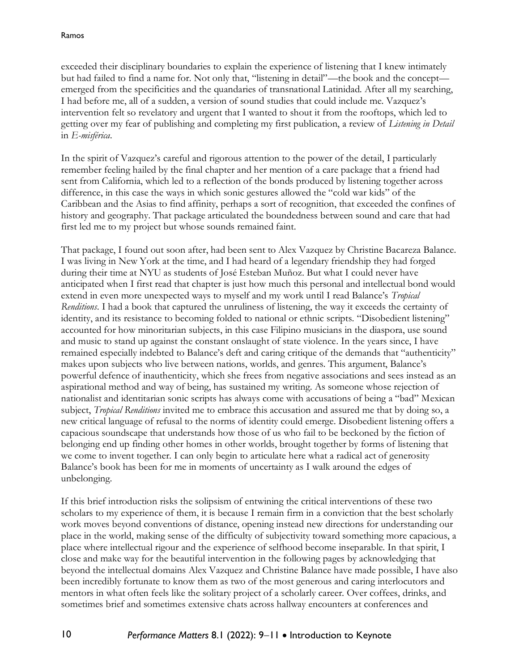exceeded their disciplinary boundaries to explain the experience of listening that I knew intimately but had failed to find a name for. Not only that, "listening in detail"—the book and the concept emerged from the specificities and the quandaries of transnational Latinidad. After all my searching, I had before me, all of a sudden, a version of sound studies that could include me. Vazquez's intervention felt so revelatory and urgent that I wanted to shout it from the rooftops, which led to getting over my fear of publishing and completing my first publication, a review of *Listening in Detail*  in *E-misférica*.

In the spirit of Vazquez's careful and rigorous attention to the power of the detail, I particularly remember feeling hailed by the final chapter and her mention of a care package that a friend had sent from California, which led to a reflection of the bonds produced by listening together across difference, in this case the ways in which sonic gestures allowed the "cold war kids" of the Caribbean and the Asias to find affinity, perhaps a sort of recognition, that exceeded the confines of history and geography. That package articulated the boundedness between sound and care that had first led me to my project but whose sounds remained faint.

That package, I found out soon after, had been sent to Alex Vazquez by Christine Bacareza Balance. I was living in New York at the time, and I had heard of a legendary friendship they had forged during their time at NYU as students of José Esteban Muñoz. But what I could never have anticipated when I first read that chapter is just how much this personal and intellectual bond would extend in even more unexpected ways to myself and my work until I read Balance's *Tropical Renditions*. I had a book that captured the unruliness of listening, the way it exceeds the certainty of identity, and its resistance to becoming folded to national or ethnic scripts. "Disobedient listening" accounted for how minoritarian subjects, in this case Filipino musicians in the diaspora, use sound and music to stand up against the constant onslaught of state violence. In the years since, I have remained especially indebted to Balance's deft and caring critique of the demands that "authenticity" makes upon subjects who live between nations, worlds, and genres. This argument, Balance's powerful defence of inauthenticity, which she frees from negative associations and sees instead as an aspirational method and way of being, has sustained my writing. As someone whose rejection of nationalist and identitarian sonic scripts has always come with accusations of being a "bad" Mexican subject, *Tropical Renditions* invited me to embrace this accusation and assured me that by doing so, a new critical language of refusal to the norms of identity could emerge. Disobedient listening offers a capacious soundscape that understands how those of us who fail to be beckoned by the fiction of belonging end up finding other homes in other worlds, brought together by forms of listening that we come to invent together. I can only begin to articulate here what a radical act of generosity Balance's book has been for me in moments of uncertainty as I walk around the edges of unbelonging.

If this brief introduction risks the solipsism of entwining the critical interventions of these two scholars to my experience of them, it is because I remain firm in a conviction that the best scholarly work moves beyond conventions of distance, opening instead new directions for understanding our place in the world, making sense of the difficulty of subjectivity toward something more capacious, a place where intellectual rigour and the experience of selfhood become inseparable. In that spirit, I close and make way for the beautiful intervention in the following pages by acknowledging that beyond the intellectual domains Alex Vazquez and Christine Balance have made possible, I have also been incredibly fortunate to know them as two of the most generous and caring interlocutors and mentors in what often feels like the solitary project of a scholarly career. Over coffees, drinks, and sometimes brief and sometimes extensive chats across hallway encounters at conferences and